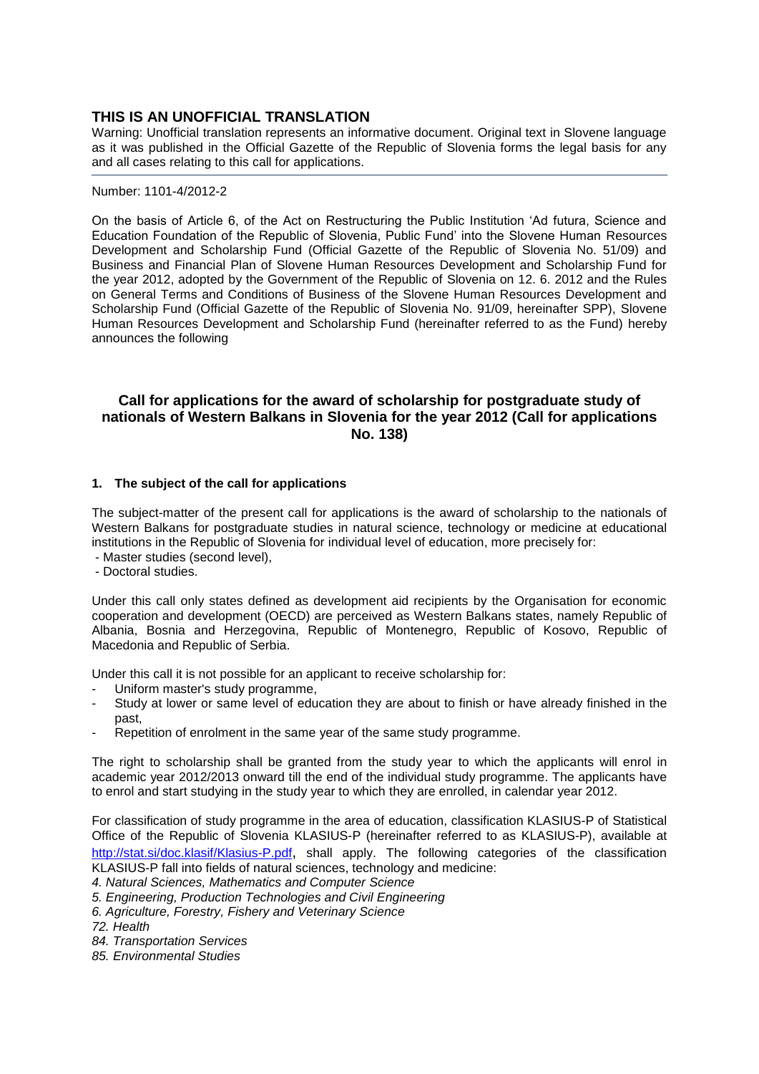# **THIS IS AN UNOFFICIAL TRANSLATION**

Warning: Unofficial translation represents an informative document. Original text in Slovene language as it was published in the Official Gazette of the Republic of Slovenia forms the legal basis for any and all cases relating to this call for applications.

Number: 1101-4/2012-2

On the basis of Article 6, of the Act on Restructuring the Public Institution 'Ad futura, Science and Education Foundation of the Republic of Slovenia, Public Fund' into the Slovene Human Resources Development and Scholarship Fund (Official Gazette of the Republic of Slovenia No. 51/09) and Business and Financial Plan of Slovene Human Resources Development and Scholarship Fund for the year 2012, adopted by the Government of the Republic of Slovenia on 12. 6. 2012 and the Rules on General Terms and Conditions of Business of the Slovene Human Resources Development and Scholarship Fund (Official Gazette of the Republic of Slovenia No. 91/09, hereinafter SPP), Slovene Human Resources Development and Scholarship Fund (hereinafter referred to as the Fund) hereby announces the following

# **Call for applications for the award of scholarship for postgraduate study of nationals of Western Balkans in Slovenia for the year 2012 (Call for applications No. 138)**

# **1. The subject of the call for applications**

The subject-matter of the present call for applications is the award of scholarship to the nationals of Western Balkans for postgraduate studies in natural science, technology or medicine at educational institutions in the Republic of Slovenia for individual level of education, more precisely for:

- Master studies (second level),
- Doctoral studies.

Under this call only states defined as development aid recipients by the Organisation for economic cooperation and development (OECD) are perceived as Western Balkans states, namely Republic of Albania, Bosnia and Herzegovina, Republic of Montenegro, Republic of Kosovo, Republic of Macedonia and Republic of Serbia.

Under this call it is not possible for an applicant to receive scholarship for:

- Uniform master's study programme,
- Study at lower or same level of education they are about to finish or have already finished in the past,
- Repetition of enrolment in the same year of the same study programme.

The right to scholarship shall be granted from the study year to which the applicants will enrol in academic year 2012/2013 onward till the end of the individual study programme. The applicants have to enrol and start studying in the study year to which they are enrolled, in calendar year 2012.

For classification of study programme in the area of education, classification KLASIUS-P of Statistical Office of the Republic of Slovenia KLASIUS-P (hereinafter referred to as KLASIUS-P), available at <http://stat.si/doc.klasif/Klasius-P.pdf>, shall apply. The following categories of the classification KLASIUS-P fall into fields of natural sciences, technology and medicine:

*4. Natural Sciences, Mathematics and Computer Science*

- *5. Engineering, Production Technologies and Civil Engineering*
- *6. Agriculture, Forestry, Fishery and Veterinary Science*

*72. Health*

- *84. Transportation Services*
- *85. Environmental Studies*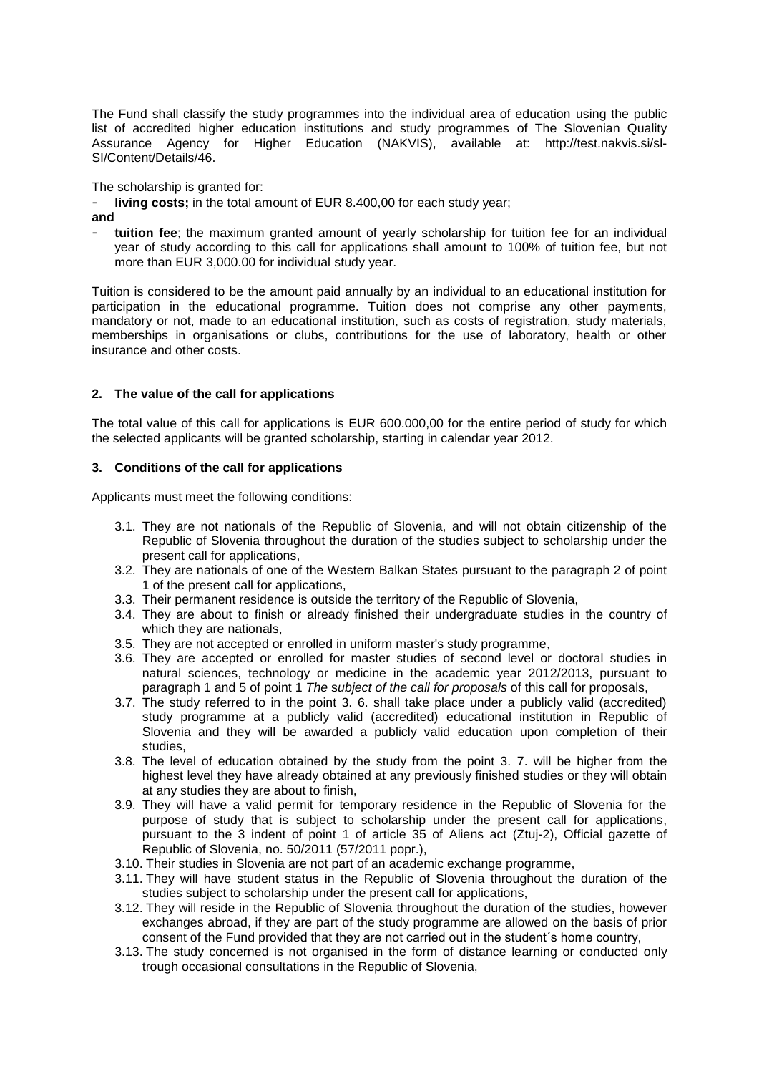The Fund shall classify the study programmes into the individual area of education using the public list of accredited higher education institutions and study programmes of The Slovenian Quality Assurance Agency for Higher Education (NAKVIS), available at: http://test.nakvis.si/sl-SI/Content/Details/46.

The scholarship is granted for:

- living costs; in the total amount of EUR 8.400,00 for each study year;
- **and**
- **tuition fee**; the maximum granted amount of yearly scholarship for tuition fee for an individual year of study according to this call for applications shall amount to 100% of tuition fee, but not more than EUR 3,000.00 for individual study year.

Tuition is considered to be the amount paid annually by an individual to an educational institution for participation in the educational programme. Tuition does not comprise any other payments, mandatory or not, made to an educational institution, such as costs of registration, study materials, memberships in organisations or clubs, contributions for the use of laboratory, health or other insurance and other costs.

# **2. The value of the call for applications**

The total value of this call for applications is EUR 600.000,00 for the entire period of study for which the selected applicants will be granted scholarship, starting in calendar year 2012.

# **3. Conditions of the call for applications**

Applicants must meet the following conditions:

- 3.1. They are not nationals of the Republic of Slovenia, and will not obtain citizenship of the Republic of Slovenia throughout the duration of the studies subject to scholarship under the present call for applications,
- 3.2. They are nationals of one of the Western Balkan States pursuant to the paragraph 2 of point 1 of the present call for applications,
- 3.3. Their permanent residence is outside the territory of the Republic of Slovenia,
- 3.4. They are about to finish or already finished their undergraduate studies in the country of which they are nationals,
- 3.5. They are not accepted or enrolled in uniform master's study programme,
- 3.6. They are accepted or enrolled for master studies of second level or doctoral studies in natural sciences, technology or medicine in the academic year 2012/2013, pursuant to paragraph 1 and 5 of point 1 *The* s*ubject of the call for proposals* of this call for proposals,
- 3.7. The study referred to in the point 3. 6. shall take place under a publicly valid (accredited) study programme at a publicly valid (accredited) educational institution in Republic of Slovenia and they will be awarded a publicly valid education upon completion of their studies,
- 3.8. The level of education obtained by the study from the point 3. 7. will be higher from the highest level they have already obtained at any previously finished studies or they will obtain at any studies they are about to finish,
- 3.9. They will have a valid permit for temporary residence in the Republic of Slovenia for the purpose of study that is subject to scholarship under the present call for applications, pursuant to the 3 indent of point 1 of article 35 of Aliens act (Ztuj-2), Official gazette of Republic of Slovenia, no. 50/2011 (57/2011 popr.),
- 3.10. Their studies in Slovenia are not part of an academic exchange programme,
- 3.11. They will have student status in the Republic of Slovenia throughout the duration of the studies subject to scholarship under the present call for applications,
- 3.12. They will reside in the Republic of Slovenia throughout the duration of the studies, however exchanges abroad, if they are part of the study programme are allowed on the basis of prior consent of the Fund provided that they are not carried out in the student´s home country,
- 3.13. The study concerned is not organised in the form of distance learning or conducted only trough occasional consultations in the Republic of Slovenia,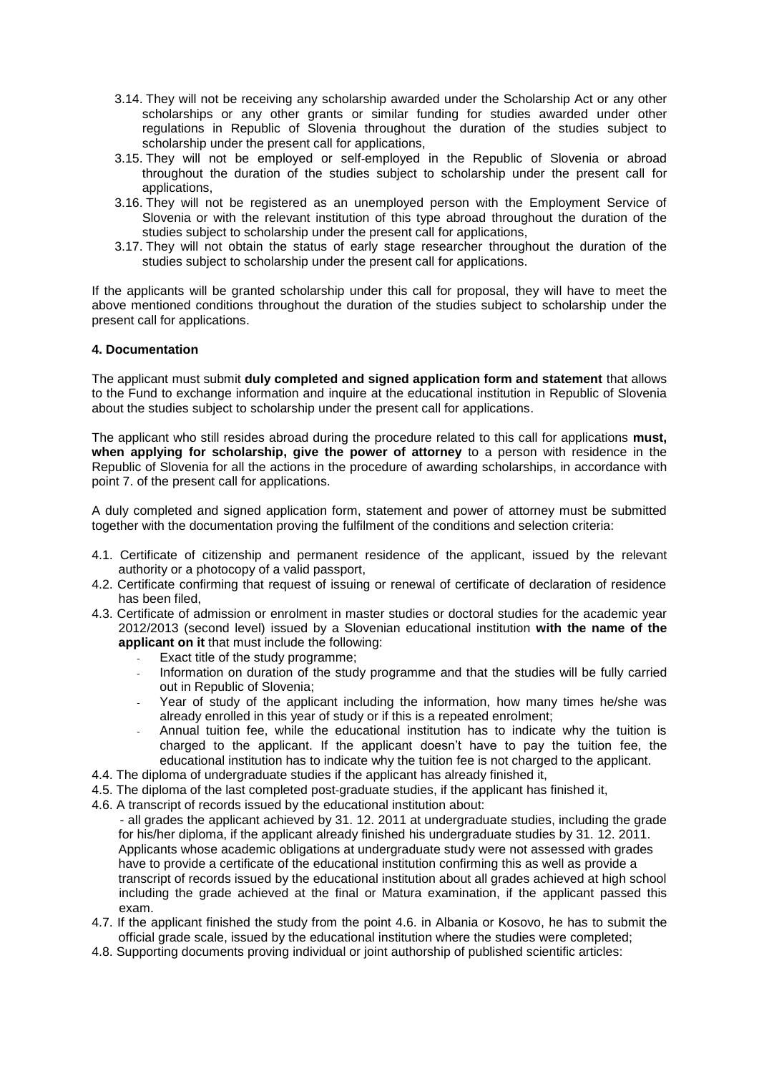- 3.14. They will not be receiving any scholarship awarded under the Scholarship Act or any other scholarships or any other grants or similar funding for studies awarded under other regulations in Republic of Slovenia throughout the duration of the studies subject to scholarship under the present call for applications,
- 3.15. They will not be employed or self‐employed in the Republic of Slovenia or abroad throughout the duration of the studies subject to scholarship under the present call for applications,
- 3.16. They will not be registered as an unemployed person with the Employment Service of Slovenia or with the relevant institution of this type abroad throughout the duration of the studies subject to scholarship under the present call for applications,
- 3.17. They will not obtain the status of early stage researcher throughout the duration of the studies subject to scholarship under the present call for applications.

If the applicants will be granted scholarship under this call for proposal, they will have to meet the above mentioned conditions throughout the duration of the studies subject to scholarship under the present call for applications.

# **4. Documentation**

The applicant must submit **duly completed and signed application form and statement** that allows to the Fund to exchange information and inquire at the educational institution in Republic of Slovenia about the studies subject to scholarship under the present call for applications.

The applicant who still resides abroad during the procedure related to this call for applications **must, when applying for scholarship, give the power of attorney** to a person with residence in the Republic of Slovenia for all the actions in the procedure of awarding scholarships, in accordance with point 7. of the present call for applications.

A duly completed and signed application form, statement and power of attorney must be submitted together with the documentation proving the fulfilment of the conditions and selection criteria:

- 4.1. Certificate of citizenship and permanent residence of the applicant, issued by the relevant authority or a photocopy of a valid passport,
- 4.2. Certificate confirming that request of issuing or renewal of certificate of declaration of residence has been filed,
- 4.3. Certificate of admission or enrolment in master studies or doctoral studies for the academic year 2012/2013 (second level) issued by a Slovenian educational institution **with the name of the applicant on it** that must include the following:
	- Exact title of the study programme;
	- Information on duration of the study programme and that the studies will be fully carried out in Republic of Slovenia;
	- Year of study of the applicant including the information, how many times he/she was already enrolled in this year of study or if this is a repeated enrolment;
	- Annual tuition fee, while the educational institution has to indicate why the tuition is charged to the applicant. If the applicant doesn't have to pay the tuition fee, the educational institution has to indicate why the tuition fee is not charged to the applicant.
- 4.4. The diploma of undergraduate studies if the applicant has already finished it,
- 4.5. The diploma of the last completed post‐graduate studies, if the applicant has finished it,
- 4.6. A transcript of records issued by the educational institution about:
	- all grades the applicant achieved by 31. 12. 2011 at undergraduate studies, including the grade for his/her diploma, if the applicant already finished his undergraduate studies by 31. 12. 2011. Applicants whose academic obligations at undergraduate study were not assessed with grades have to provide a certificate of the educational institution confirming this as well as provide a transcript of records issued by the educational institution about all grades achieved at high school including the grade achieved at the final or Matura examination, if the applicant passed this exam.
- 4.7. If the applicant finished the study from the point 4.6. in Albania or Kosovo, he has to submit the official grade scale, issued by the educational institution where the studies were completed;
- 4.8. Supporting documents proving individual or joint authorship of published scientific articles: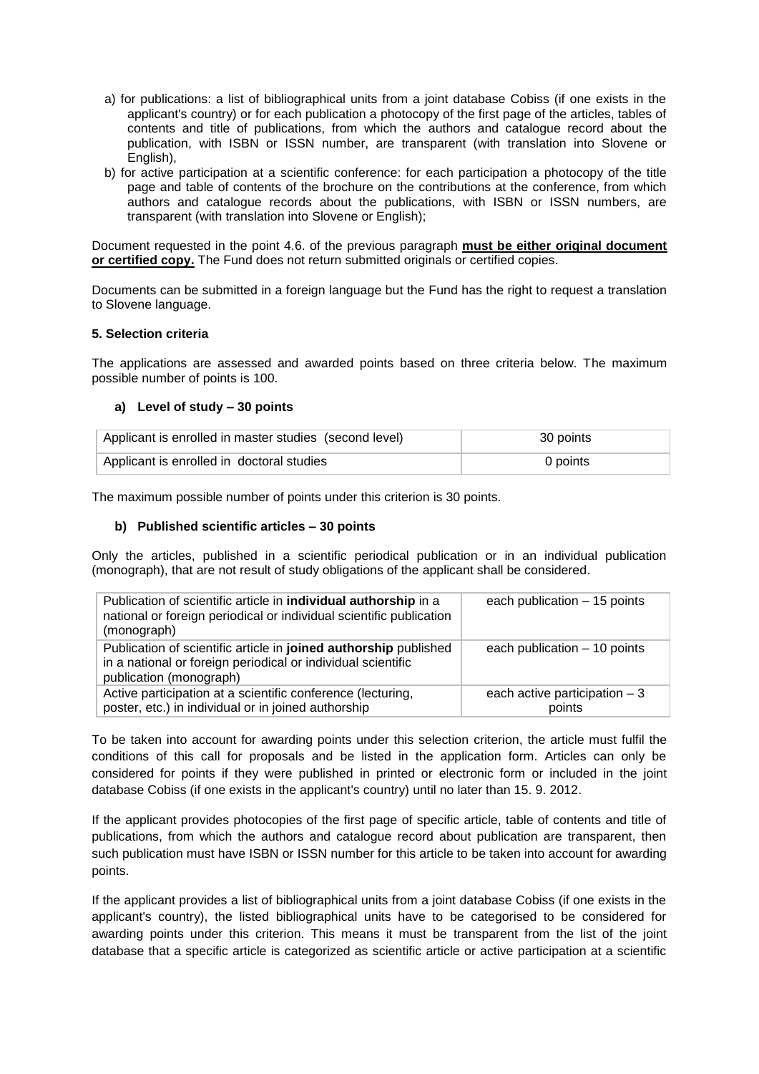- a) for publications: a list of bibliographical units from a joint database Cobiss (if one exists in the applicant's country) or for each publication a photocopy of the first page of the articles, tables of contents and title of publications, from which the authors and catalogue record about the publication, with ISBN or ISSN number, are transparent (with translation into Slovene or English),
- b) for active participation at a scientific conference: for each participation a photocopy of the title page and table of contents of the brochure on the contributions at the conference, from which authors and catalogue records about the publications, with ISBN or ISSN numbers, are transparent (with translation into Slovene or English);

Document requested in the point 4.6. of the previous paragraph **must be either original document or certified copy.** The Fund does not return submitted originals or certified copies.

Documents can be submitted in a foreign language but the Fund has the right to request a translation to Slovene language.

# **5. Selection criteria**

The applications are assessed and awarded points based on three criteria below. The maximum possible number of points is 100.

# **a) Level of study – 30 points**

| Applicant is enrolled in master studies (second level) | 30 points |
|--------------------------------------------------------|-----------|
| Applicant is enrolled in doctoral studies              | 0 points  |

The maximum possible number of points under this criterion is 30 points.

### **b) Published scientific articles – 30 points**

Only the articles, published in a scientific periodical publication or in an individual publication (monograph), that are not result of study obligations of the applicant shall be considered.

| Publication of scientific article in <b>individual authorship</b> in a<br>national or foreign periodical or individual scientific publication<br>(monograph) | each publication $-15$ points            |
|--------------------------------------------------------------------------------------------------------------------------------------------------------------|------------------------------------------|
| Publication of scientific article in joined authorship published<br>in a national or foreign periodical or individual scientific<br>publication (monograph)  | each publication $-10$ points            |
| Active participation at a scientific conference (lecturing,<br>poster, etc.) in individual or in joined authorship                                           | each active participation $-3$<br>points |

To be taken into account for awarding points under this selection criterion, the article must fulfil the conditions of this call for proposals and be listed in the application form. Articles can only be considered for points if they were published in printed or electronic form or included in the joint database Cobiss (if one exists in the applicant's country) until no later than 15. 9. 2012.

If the applicant provides photocopies of the first page of specific article, table of contents and title of publications, from which the authors and catalogue record about publication are transparent, then such publication must have ISBN or ISSN number for this article to be taken into account for awarding points.

If the applicant provides a list of bibliographical units from a joint database Cobiss (if one exists in the applicant's country), the listed bibliographical units have to be categorised to be considered for awarding points under this criterion. This means it must be transparent from the list of the joint database that a specific article is categorized as scientific article or active participation at a scientific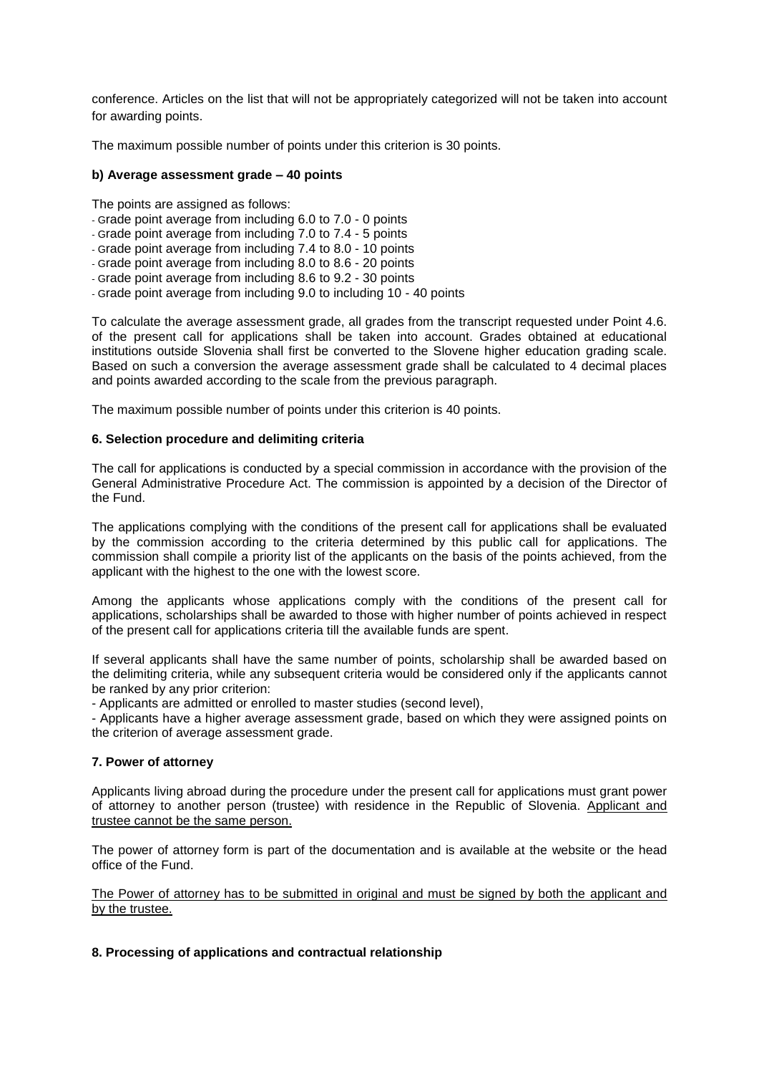conference. Articles on the list that will not be appropriately categorized will not be taken into account for awarding points.

The maximum possible number of points under this criterion is 30 points.

#### **b) Average assessment grade – 40 points**

The points are assigned as follows:

- ‐ Grade point average from including 6.0 to 7.0 0 points
- ‐ Grade point average from including 7.0 to 7.4 5 points
- ‐ Grade point average from including 7.4 to 8.0 10 points
- ‐ Grade point average from including 8.0 to 8.6 20 points
- ‐ Grade point average from including 8.6 to 9.2 30 points
- ‐ Grade point average from including 9.0 to including 10 40 points

To calculate the average assessment grade, all grades from the transcript requested under Point 4.6. of the present call for applications shall be taken into account. Grades obtained at educational institutions outside Slovenia shall first be converted to the Slovene higher education grading scale. Based on such a conversion the average assessment grade shall be calculated to 4 decimal places and points awarded according to the scale from the previous paragraph.

The maximum possible number of points under this criterion is 40 points.

#### **6. Selection procedure and delimiting criteria**

The call for applications is conducted by a special commission in accordance with the provision of the General Administrative Procedure Act. The commission is appointed by a decision of the Director of the Fund.

The applications complying with the conditions of the present call for applications shall be evaluated by the commission according to the criteria determined by this public call for applications. The commission shall compile a priority list of the applicants on the basis of the points achieved, from the applicant with the highest to the one with the lowest score.

Among the applicants whose applications comply with the conditions of the present call for applications, scholarships shall be awarded to those with higher number of points achieved in respect of the present call for applications criteria till the available funds are spent.

If several applicants shall have the same number of points, scholarship shall be awarded based on the delimiting criteria, while any subsequent criteria would be considered only if the applicants cannot be ranked by any prior criterion:

- Applicants are admitted or enrolled to master studies (second level),

- Applicants have a higher average assessment grade, based on which they were assigned points on the criterion of average assessment grade.

### **7. Power of attorney**

Applicants living abroad during the procedure under the present call for applications must grant power of attorney to another person (trustee) with residence in the Republic of Slovenia. Applicant and trustee cannot be the same person.

The power of attorney form is part of the documentation and is available at the website or the head office of the Fund.

The Power of attorney has to be submitted in original and must be signed by both the applicant and by the trustee.

### **8. Processing of applications and contractual relationship**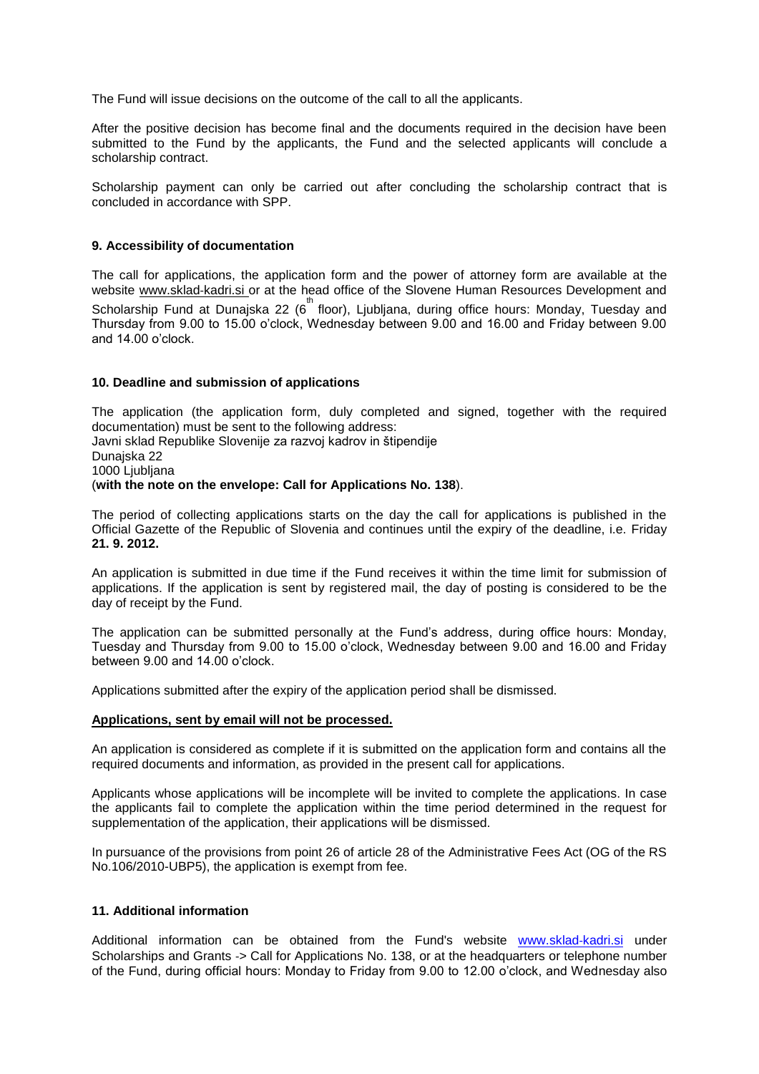The Fund will issue decisions on the outcome of the call to all the applicants.

After the positive decision has become final and the documents required in the decision have been submitted to the Fund by the applicants, the Fund and the selected applicants will conclude a scholarship contract.

Scholarship payment can only be carried out after concluding the scholarship contract that is concluded in accordance with SPP.

## **9. Accessibility of documentation**

The call for applications, the application form and the power of attorney form are available at the website www.sklad-kadri.si or at the head office of the Slovene Human Resources Development and Scholarship Fund at Dunajska 22 (6<sup>th</sup> floor), Ljubljana, during office hours: Monday, Tuesday and Thursday from 9.00 to 15.00 o'clock, Wednesday between 9.00 and 16.00 and Friday between 9.00 and 14.00 o'clock.

# **10. Deadline and submission of applications**

The application (the application form, duly completed and signed, together with the required documentation) must be sent to the following address:

Javni sklad Republike Slovenije za razvoj kadrov in štipendije

# Dunajska 22

# 1000 Liubliana

# (**with the note on the envelope: Call for Applications No. 138**).

The period of collecting applications starts on the day the call for applications is published in the Official Gazette of the Republic of Slovenia and continues until the expiry of the deadline, i.e. Friday **21. 9. 2012.** 

An application is submitted in due time if the Fund receives it within the time limit for submission of applications. If the application is sent by registered mail, the day of posting is considered to be the day of receipt by the Fund.

The application can be submitted personally at the Fund's address, during office hours: Monday, Tuesday and Thursday from 9.00 to 15.00 o'clock, Wednesday between 9.00 and 16.00 and Friday between 9.00 and 14.00 o'clock.

Applications submitted after the expiry of the application period shall be dismissed.

### **Applications, sent by email will not be processed.**

An application is considered as complete if it is submitted on the application form and contains all the required documents and information, as provided in the present call for applications.

Applicants whose applications will be incomplete will be invited to complete the applications. In case the applicants fail to complete the application within the time period determined in the request for supplementation of the application, their applications will be dismissed.

In pursuance of the provisions from point 26 of article 28 of the Administrative Fees Act (OG of the RS No.106/2010-UBP5), the application is exempt from fee.

### **11. Additional information**

Additional information can be obtained from the Fund's website [www.sklad](http://www.sklad‐kadri.si/)-kadri.si under Scholarships and Grants -> Call for Applications No. 138, or at the headquarters or telephone number of the Fund, during official hours: Monday to Friday from 9.00 to 12.00 o'clock, and Wednesday also